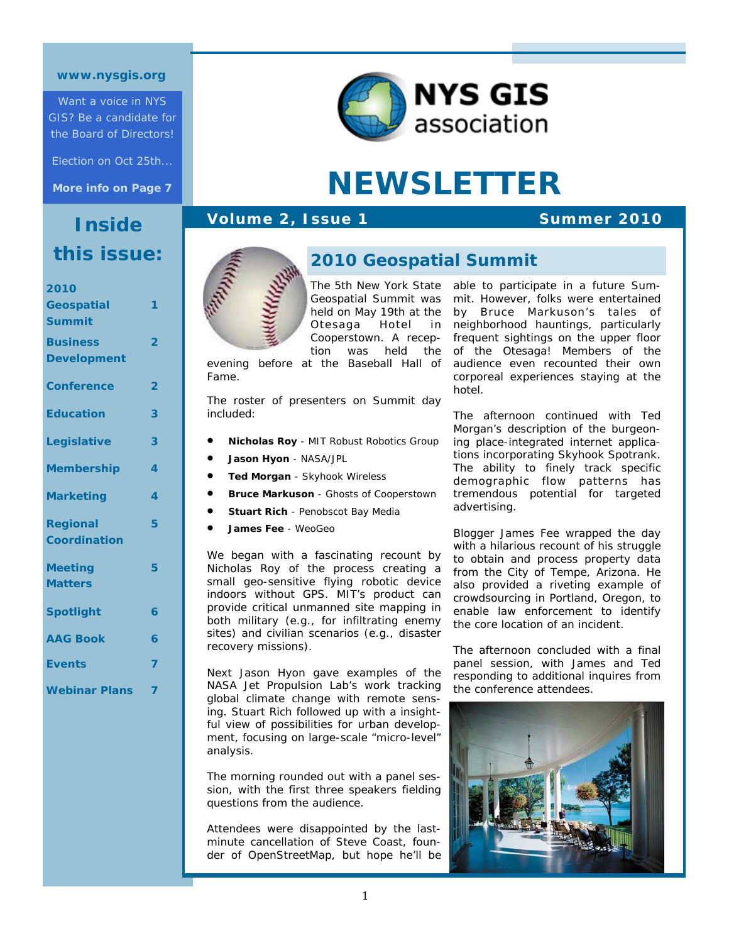#### **www.nysgis.org**

Want a voice in NYS GIS? Be a candidate for the Board of Directors!

Election on Oct 25th...

**More info on Page 7** 

# **Inside this issue:**

| 2010                             |                         |
|----------------------------------|-------------------------|
| <b>Geospatial</b>                | 1                       |
| <b>Summit</b>                    |                         |
| <b>Business</b>                  | $\overline{\mathbf{2}}$ |
| <b>Development</b>               |                         |
|                                  |                         |
| <b>Conference</b>                | $\overline{2}$          |
| <b>Education</b>                 | 3                       |
|                                  |                         |
| Legislative                      | 3                       |
|                                  |                         |
| <b>Membership</b>                | 4                       |
| <b>Marketing</b>                 | 4                       |
|                                  |                         |
| <b>Regional</b>                  | 5                       |
| Coordination                     |                         |
|                                  | 5                       |
| <b>Meeting</b><br><b>Matters</b> |                         |
|                                  |                         |
| <b>Spotlight</b>                 | 6                       |
|                                  |                         |
| <b>AAG Book</b>                  | 6                       |
| <b>Events</b>                    | 7                       |
|                                  |                         |
| <b>Webinar Plans</b>             | 7                       |
|                                  |                         |



# **NEWSLETTER**

#### **Volume 2, Issue 1** Summer 2010



#### **2010 Geospatial Summit**

The 5th New York State Geospatial Summit was held on May 19th at the Otesaga Hotel in Cooperstown. A reception was held the

evening before at the Baseball Hall of Fame.

The roster of presenters on Summit day included:

- **Nicholas Roy** *MIT Robust Robotics Group*
- **Jason Hyon** *NASA/JPL*
- **Ted Morgan** *Skyhook Wireless*
- **Bruce Markuson** *Ghosts of Cooperstown*
- **Stuart Rich** *Penobscot Bay Media*
- **James Fee** *WeoGeo*

We began with a fascinating recount by Nicholas Roy of the process creating a small geo-sensitive flying robotic device indoors without GPS. MIT's product can provide critical unmanned site mapping in both military (e.g., for infiltrating enemy sites) and civilian scenarios (e.g., disaster recovery missions).

Next Jason Hyon gave examples of the NASA Jet Propulsion Lab's work tracking global climate change with remote sensing. Stuart Rich followed up with a insightful view of possibilities for urban development, focusing on large-scale "micro-level" analysis.

The morning rounded out with a panel session, with the first three speakers fielding questions from the audience.

Attendees were disappointed by the lastminute cancellation of Steve Coast, founder of OpenStreetMap, but hope he'll be

able to participate in a future Summit. However, folks were entertained by Bruce Markuson's tales of neighborhood hauntings, particularly frequent sightings on the upper floor of the Otesaga! Members of the audience even recounted their own corporeal experiences staying at the hotel.

The afternoon continued with Ted Morgan's description of the burgeoning place-integrated internet applications incorporating Skyhook Spotrank. The ability to finely track specific demographic flow patterns has tremendous potential for targeted advertising.

Blogger James Fee wrapped the day with a hilarious recount of his struggle to obtain and process property data from the City of Tempe, Arizona. He also provided a riveting example of crowdsourcing in Portland, Oregon, to enable law enforcement to identify the core location of an incident.

The afternoon concluded with a final panel session, with James and Ted responding to additional inquires from the conference attendees.

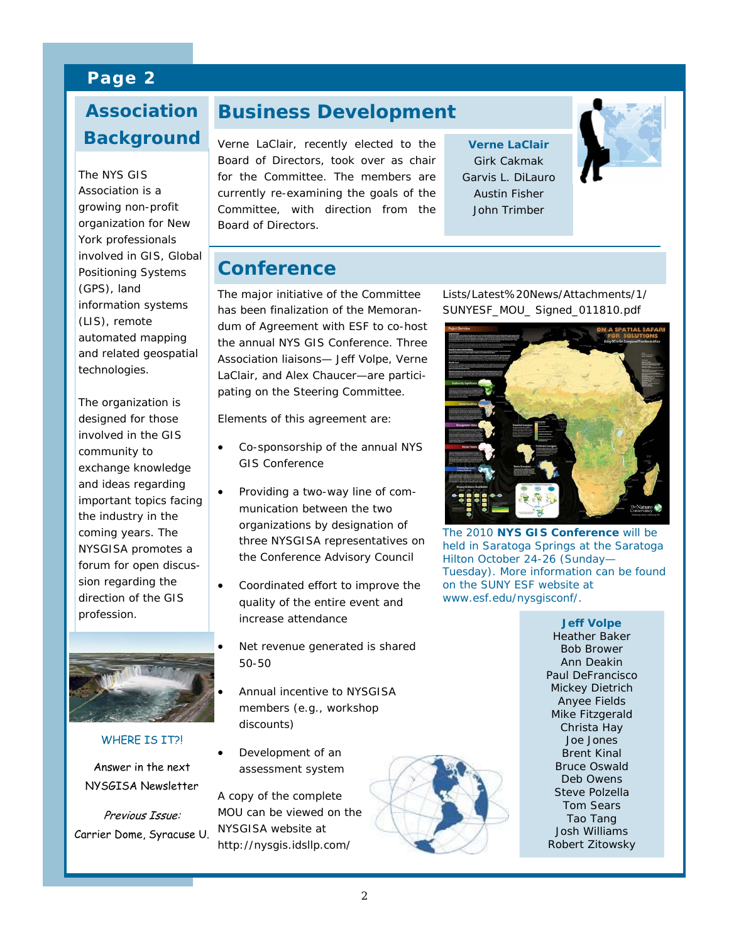## **Page 2**

# **Why Background Association**

The NYS GIS<br>Association is a organization for New vork professionals involved in GIS, Global  $\frac{1}{2}$ Positioning Systems information systems (LIS), remote automated mapping technologies. The NYS GIS growing non-profit (GPS), land and related geospatial

The organization is involved in the GIS community to  $\frac{1}{2}$  correction correction  $\frac{1}{2}$ exchange knowledge and ideas regarding the industry in the coming years. The NYSGISA promotes a sion regarding the direction of the GIS profession. the Gisson of Nyssan Nyssan Nyssan Nyssan Nyssan Nyssan Nyssan Nyssan Nyssan Nyssan Nyssan Nyssan Nyssan Nyssa<br>Jereo amin'ny faritr'i Nyssan Nyssan Nyssan Nyssan Nyssan Nyssan Nyssan Nyssan Nyssan Nyssan Nyssan Nyssan Nys designed for those important topics facing forum for open discus-



WHERE **TS TT2L** 

Answer in the next NYSGISA Newsletter

Previous Issue: Carrier Dome, Syracuse U.

## **Business Development**

Verne LaClair, recently elected to the Board of Directors, took over as chair for the Committee. The members are currently re-examining the goals of the Committee, with direction from the Board of Directors.

**Verne LaClair**  Girk Cakmak Garvis L. DiLauro Austin Fisher John Trimber



**Conference** 

The major initiative of the Committee has been finalization of the Memorandum of Agreement with ESF to co-host the annual NYS GIS Conference. Three Association liaisons— Jeff Volpe, Verne LaClair, and Alex Chaucer—are participating on the Steering Committee.

Elements of this agreement are:

- Co-sponsorship of the annual NYS GIS Conference
- Providing a two-way line of communication between the two organizations by designation of three NYSGISA representatives on the Conference Advisory Council
- Coordinated effort to improve the quality of the entire event and increase attendance
	- Net revenue generated is shared 50-50
	- Annual incentive to NYSGISA members (e.g., workshop discounts)
- Development of an assessment system

A copy of the complete MOU can be viewed on the NYSGISA website at http://nysgis.idsllp.com/

Lists/Latest%20News/Attachments/1/ SUNYESF\_MOU\_ Signed\_011810.pdf



The 2010 **NYS GIS Conference** will be held in Saratoga Springs at the Saratoga Hilton October 24-26 (Sunday— Tuesday). More information can be found on the SUNY ESF website at *www.esf.edu/nysgisconf/*.

**Jeff Volpe**  Heather Baker Bob Brower Ann Deakin Paul DeFrancisco Mickey Dietrich Anyee Fields Mike Fitzgerald Christa Hay Joe Jones Brent Kinal Bruce Oswald Deb Owens Steve Polzella Tom Sears Tao Tang Josh Williams Robert Zitowsky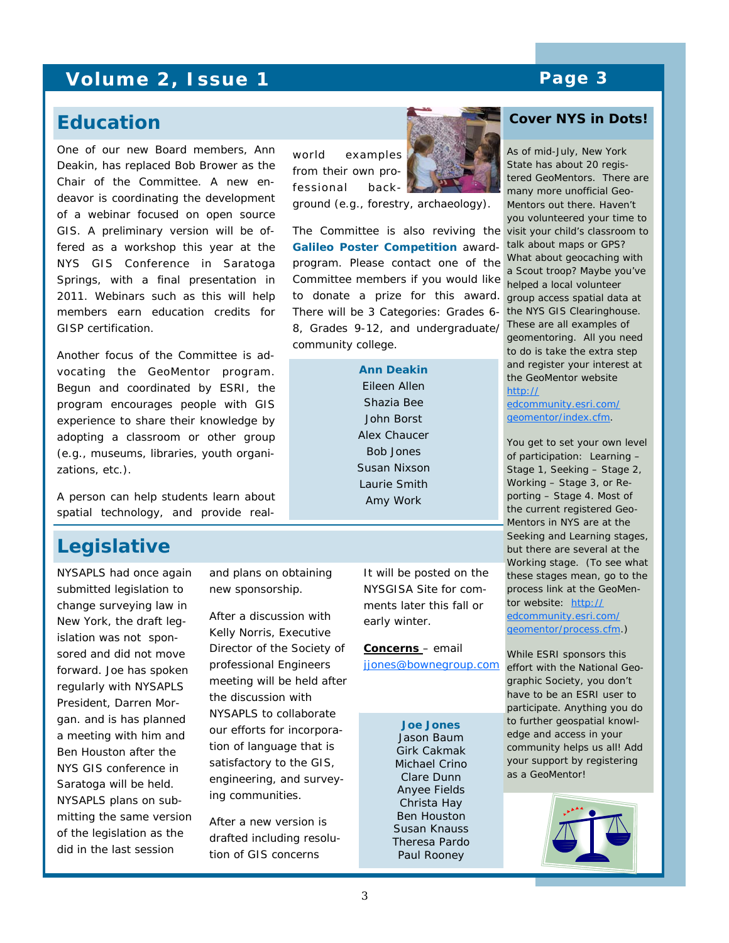## **Volume 2, Issue 1 Page 3**

### **Education**

One of our new Board members, Ann Deakin, has replaced Bob Brower as the Chair of the Committee. A new endeavor is coordinating the development of a webinar focused on open source GIS. A preliminary version will be offered as a workshop this year at the NYS GIS Conference in Saratoga Springs, with a final presentation in 2011. Webinars such as this will help members earn education credits for GISP certification.

Another focus of the Committee is advocating the GeoMentor program. Begun and coordinated by ESRI, the program encourages people with GIS experience to share their knowledge by adopting a classroom or other group (e.g., museums, libraries, youth organizations, etc.).

A person can help students learn about spatial technology, and provide real-

## **Legislative**

NYSAPLS had once again submitted legislation to change surveying law in New York, the draft legislation was not sponsored and did not move forward. Joe has spoken regularly with NYSAPLS President, Darren Morgan. and is has planned a meeting with him and Ben Houston after the NYS GIS conference in Saratoga will be held. NYSAPLS plans on submitting the same version of the legislation as the did in the last session

and plans on obtaining new sponsorship.

After a discussion with Kelly Norris, Executive Director of the Society of professional Engineers meeting will be held after the discussion with NYSAPLS to collaborate our efforts for incorporation of language that is satisfactory to the GIS, engineering, and surveying communities.

After a new version is drafted including resolution of GIS concerns

world examples from their own professional back-

ground (e.g., forestry, archaeology).

The Committee is also reviving the visit your child's classroom to **Galileo Poster Competition** awardprogram. Please contact one of the Committee members if you would like to donate a prize for this award. There will be 3 Categories: Grades 6- 8, Grades 9-12, and undergraduate/ community college.

> **Ann Deakin**  Eileen Allen Shazia Bee John Borst Alex Chaucer Bob Jones Susan Nixson Laurie Smith Amy Work

early winter.

**Concerns** – email

**Joe Jones**  Jason Baum Girk Cakmak Michael Crino Clare Dunn Anyee Fields Christa Hay Ben Houston Susan Knauss Theresa Pardo Paul Rooney

[jjones@bownegroup.com](mailto:jjones@bownegroup.com)

It will be posted on the NYSGISA Site for comments later this fall or



#### **Cover NYS in Dots!**

As of mid-July, New York State has about 20 registered GeoMentors. There are many more unofficial Geo-Mentors out there. Haven't you volunteered your time to talk about maps or GPS? What about geocaching with a Scout troop? Maybe you've helped a local volunteer group access spatial data at the NYS GIS Clearinghouse. These are all examples of geomentoring. All you need to do is take the extra step and register your interest at the GeoMentor website [http://](http://edcommunity.esri.com/geomentor/index.cfm)

[edcommunity.esri.com/](http://edcommunity.esri.com/geomentor/index.cfm) [geomentor/index.cfm](http://edcommunity.esri.com/geomentor/index.cfm).

You get to set your own level of participation: Learning – Stage 1, Seeking – Stage 2, Working – Stage 3, or Reporting – Stage 4. Most of the current registered Geo-Mentors in NYS are at the Seeking and Learning stages, but there are several at the Working stage. (To see what these stages mean, go to the process link at the GeoMentor website: [http://](http://edcommunity.esri.com/geomentor/process.cfm) [edcommunity.esri.com/](http://edcommunity.esri.com/geomentor/process.cfm) [geomentor/process.cfm](http://edcommunity.esri.com/geomentor/process.cfm).)

While ESRI sponsors this effort with the National Geographic Society, you don't have to be an ESRI user to participate. Anything you do to further geospatial knowledge and access in your community helps us all! Add your support by registering as a GeoMentor!

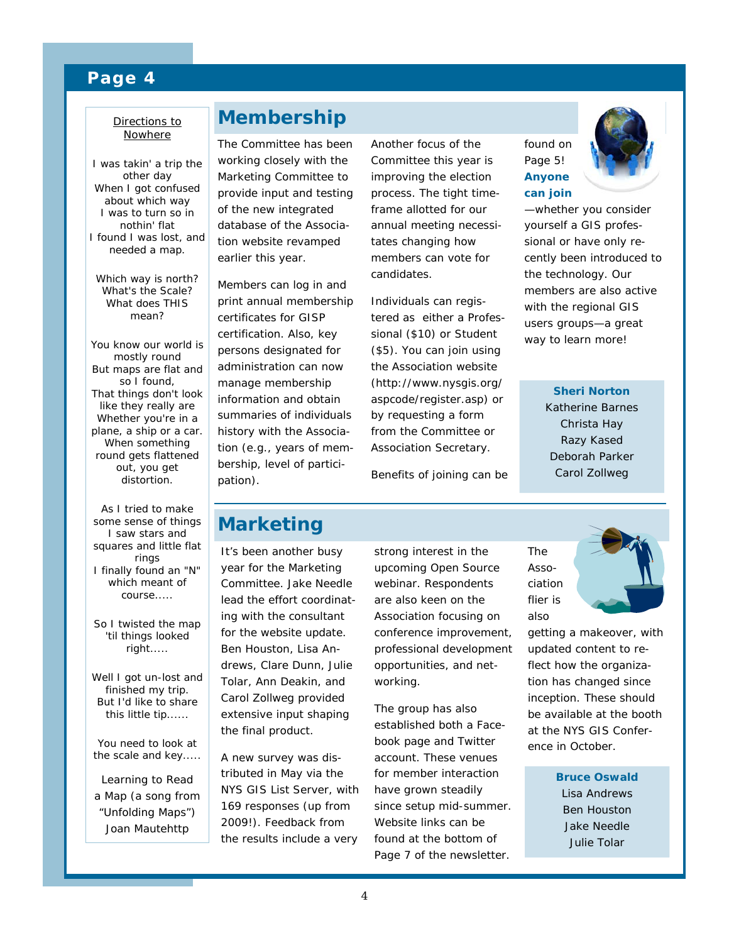#### **Page 4**

#### Directions to Nowhere

I was takin' a trip the other day When I got confused about which way I was to turn so in nothin' flat I found I was lost, and needed a map.

Which way is north? What's the Scale? What does THIS mean?

You know our world is mostly round But maps are flat and so I found, That things don't look like they really are Whether you're in a plane, a ship or a car. When something round gets flattened out, you get distortion.

As I tried to make some sense of things I saw stars and squares and little flat rings I finally found an "N" which meant of course.....

So I twisted the map 'til things looked right.....

Well I got un-lost and finished my trip. But I'd like to share this little tip......

You need to look at the scale and key.....

*Learning to Read a Map (a song from "Unfolding Maps")* Joan Mautehttp

## **Membership**

The Committee has been working closely with the Marketing Committee to provide input and testing of the new integrated database of the Association website revamped earlier this year.

Members can log in and print annual membership certificates for GISP certification. Also, key persons designated for administration can now manage membership information and obtain summaries of individuals history with the Association (e.g., years of membership, level of participation).

Another focus of the Committee this year is improving the election process. The tight timeframe allotted for our annual meeting necessitates changing how members can vote for candidates.

Individuals can registered as either a Professional (\$10) or Student (\$5). You can join using the Association website (http://www.nysgis.org/ aspcode/register.asp) or by requesting a form from the Committee or Association Secretary.

Benefits of joining can be

found on Page 5! **Anyone can join** 



—whether you consider yourself a GIS professional or have only recently been introduced to the technology. Our members are also active with the regional GIS users groups—a great way to learn more!

> **Sheri Norton**  Katherine Barnes Christa Hay Razy Kased Deborah Parker Carol Zollweg

## **Marketing**

It's been another busy year for the Marketing Committee. Jake Needle lead the effort coordinating with the consultant for the website update. Ben Houston, Lisa Andrews, Clare Dunn, Julie Tolar, Ann Deakin, and Carol Zollweg provided extensive input shaping the final product.

A new survey was distributed in May via the NYS GIS List Server, with 169 responses (up from 2009!). Feedback from the results include a very

strong interest in the upcoming Open Source webinar. Respondents are also keen on the Association focusing on conference improvement, professional development opportunities, and networking.

The group has also established both a Facebook page and Twitter account. These venues for member interaction have grown steadily since setup mid-summer. Website links can be found at the bottom of Page 7 of the newsletter.

The Association flier is also



getting a makeover, with updated content to reflect how the organization has changed since inception. These should be available at the booth at the NYS GIS Conference in October.

> **Bruce Oswald**  Lisa Andrews Ben Houston Jake Needle Julie Tolar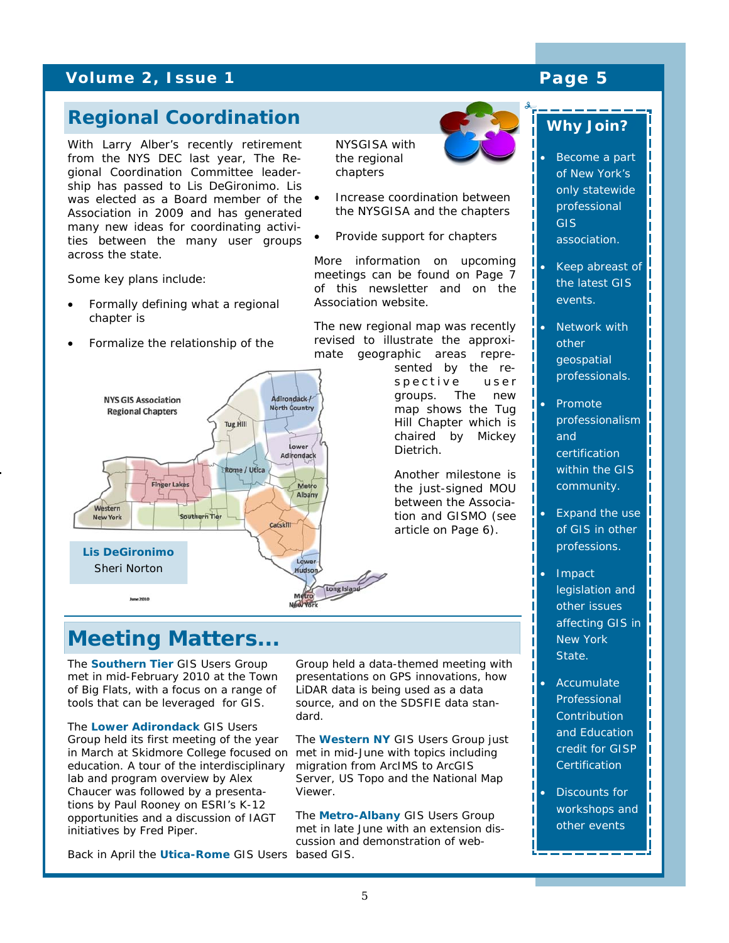## **Volume 2, Issue 1 Analyzing Contract Contract Page 5**

## **Regional Coordination**

With Larry Alber's recently retirement from the NYS DEC last year, The Regional Coordination Committee leadership has passed to Lis DeGironimo. Lis was elected as a Board member of the Association in 2009 and has generated many new ideas for coordinating activities between the many user groups across the state.

Some key plans include:

- Formally defining what a regional chapter is
- Formalize the relationship of the



NYSGISA with the regional chapters

- Increase coordination between the NYSGISA and the chapters
- Provide support for chapters

More information on upcoming meetings can be found on Page 7 of this newsletter and on the Association website.

The new regional map was recently revised to illustrate the approximate geographic areas repre-

> sented by the respective user groups. The new map shows the Tug Hill Chapter which is chaired by Mickey Dietrich.

Another milestone is the just-signed MOU between the Association and GISMO (see article on Page 6).

# **Meeting Matters...**

The **Southern Tier** GIS Users Group met in mid-February 2010 at the Town of Big Flats, with a focus on a range of tools that can be leveraged for GIS.

The **Lower Adirondack** GIS Users Group held its first meeting of the year in March at Skidmore College focused on education. A tour of the interdisciplinary lab and program overview by Alex Chaucer was followed by a presentations by Paul Rooney on ESRI's K-12 opportunities and a discussion of IAGT initiatives by Fred Piper.

Back in April the **Utica-Rome** GIS Users based GIS.

Group held a data-themed meeting with presentations on GPS innovations, how LiDAR data is being used as a data source, and on the SDSFIE data standard.

The **Western NY** GIS Users Group just met in mid-June with topics including migration from ArcIMS to ArcGIS Server, US Topo and the National Map Viewer.

The **Metro-Albany** GIS Users Group met in late June with an extension discussion and demonstration of web-

## *Why Join??*

• Become a part of New York's only statewide professional GIS association.

- Keep abreast of the latest GIS events.
- Network with other geospatial professionals.
- Promote professionalism and certification within the GIS community.
- Expand the use of GIS in other professions.
- Impact legislation and other issues affecting GIS in New York State.
- **Accumulate** Professional **Contribution** and Education credit for GISP **Certification**
- Discounts for workshops and other events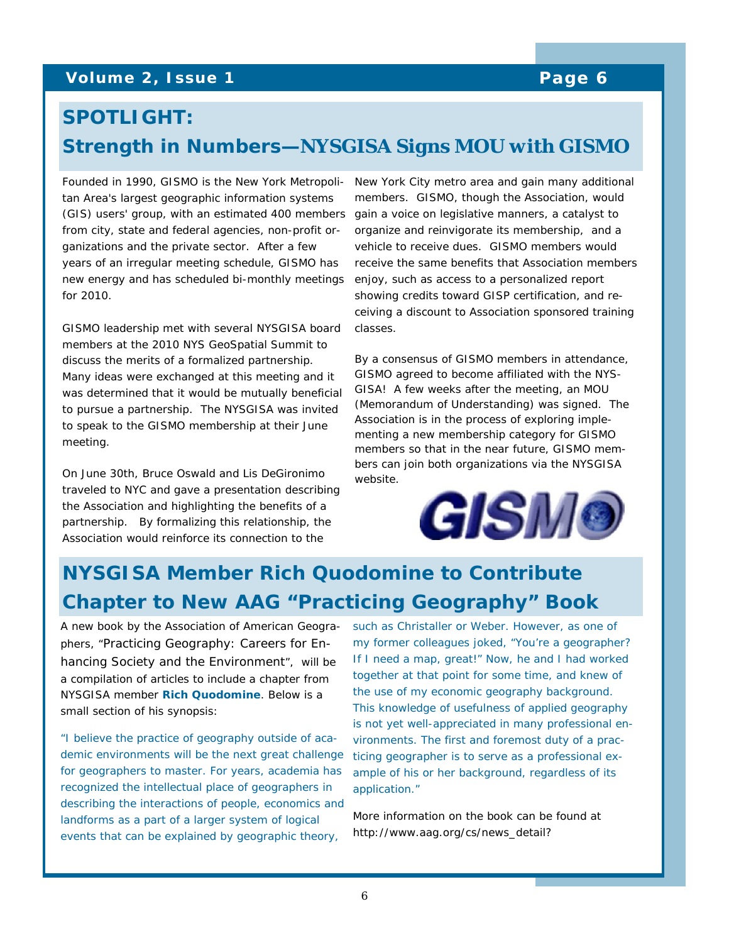### **Volume 2, Issue 1 Page 6 <b>Page 6**

# **SPOTLIGHT: Strength in Numbers—***NYSGISA Signs MOU with GISMO*

Founded in 1990, GISMO is the New York Metropolitan Area's largest geographic information systems (GIS) users' group, with an estimated 400 members from city, state and federal agencies, non-profit organizations and the private sector. After a few years of an irregular meeting schedule, GISMO has new energy and has scheduled bi-monthly meetings enjoy, such as access to a personalized report for 2010.

GISMO leadership met with several NYSGISA board members at the 2010 NYS GeoSpatial Summit to discuss the merits of a formalized partnership. Many ideas were exchanged at this meeting and it was determined that it would be mutually beneficial to pursue a partnership. The NYSGISA was invited to speak to the GISMO membership at their June meeting.

On June 30th, Bruce Oswald and Lis DeGironimo traveled to NYC and gave a presentation describing the Association and highlighting the benefits of a partnership. By formalizing this relationship, the Association would reinforce its connection to the

New York City metro area and gain many additional members. GISMO, though the Association, would gain a voice on legislative manners, a catalyst to organize and reinvigorate its membership, and a vehicle to receive dues. GISMO members would receive the same benefits that Association members showing credits toward GISP certification, and receiving a discount to Association sponsored training classes.

By a consensus of GISMO members in attendance, GISMO agreed to become affiliated with the NYS-GISA! A few weeks after the meeting, an MOU (Memorandum of Understanding) was signed. The Association is in the process of exploring implementing a new membership category for GISMO members so that in the near future, GISMO members can join both organizations via the NYSGISA website.



# **NYSGISA Member Rich Quodomine to Contribute Chapter to New AAG "Practicing Geography" Book**

A new book by the Association of American Geographers, "Practicing Geography: Careers for Enhancing Society and the Environment", will be a compilation of articles to include a chapter from NYSGISA member **Rich Quodomine**. Below is a small section of his synopsis:

"I believe the practice of geography outside of academic environments will be the next great challenge for geographers to master. For years, academia has recognized the intellectual place of geographers in describing the interactions of people, economics and landforms as a part of a larger system of logical events that can be explained by geographic theory,

such as Christaller or Weber. However, as one of my former colleagues joked, "You're a geographer? If I need a map, great!" Now, he and I had worked together at that point for some time, and knew of the use of my economic geography background. This knowledge of usefulness of applied geography is not yet well-appreciated in many professional environments. The first and foremost duty of a practicing geographer is to serve as a professional example of his or her background, regardless of its application."

More information on the book can be found at http://www.aag.org/cs/news\_detail?